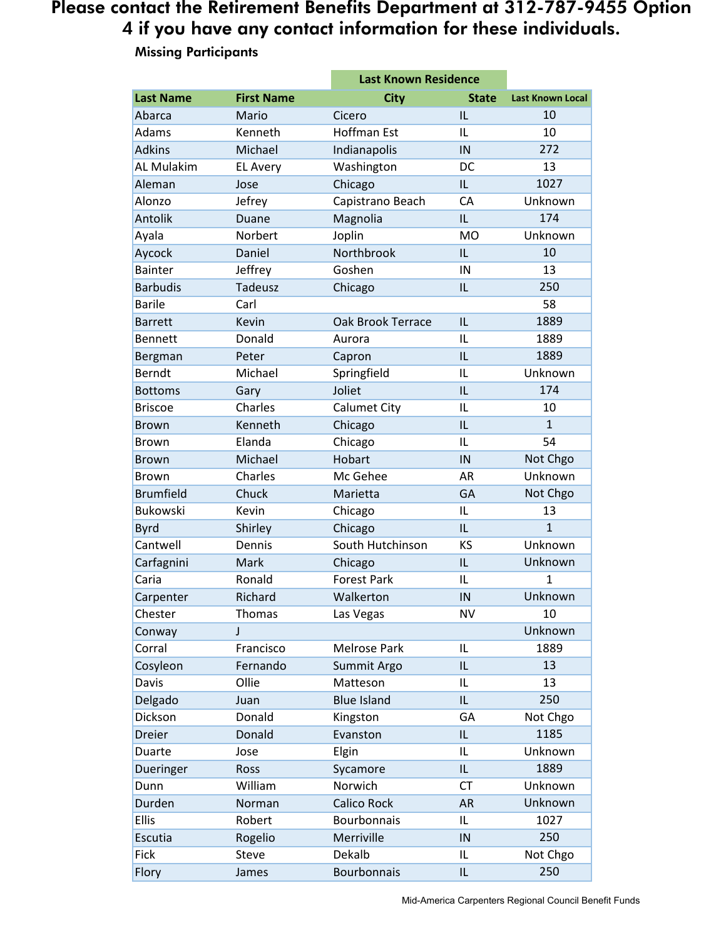# Please contact the Retirement Benefits Department at 312-787-9455 Option 4 if you have any contact information for these individuals.

#### **Last Name First Name City State Last Known Local** Abarca Mario Cicero IL 10 Adams Kenneth Hoffman Est IL 10 Adkins Michael Indianapolis IN 272 AL Mulakim EL Avery Washington DC 13 Aleman Jose Chicago IL 1027 Alonzo Jefrey Capistrano Beach CA Unknown Antolik Duane Magnolia IL 174 Ayala Norbert Joplin MO Unknown Aycock Daniel Northbrook IL 10 Bainter **Goshen** IN 13 Barbudis Tadeusz Chicago IL 250 Barile **Carl** Carl 58 Barrett Kevin Oak Brook Terrace IL 1889 Bennett Donald Aurora IL 1889 Bergman Peter Capron IL 1889 Berndt Michael Springfield IL Unknown Bottoms Gary Joliet IL 174 Briscoe Charles Calumet City IL 10 Brown Kenneth Chicago IL 1 Brown Elanda Chicago IL 54 Brown Michael Hobart IN Not Chgo Brown Charles Mc Gehee AR Unknown Brumfield Chuck Marietta GA Not Chgo Bukowski Kevin Chicago IL 13 Byrd Shirley Chicago IL 1 Cantwell Dennis South Hutchinson KS Unknown Carfagnini Mark Chicago IL Unknown Caria **Ronald** Forest Park IL 1 Carpenter Richard Walkerton IN Unknown Chester Thomas Las Vegas NV 10 Conway J Unknown Corral Francisco Melrose Park IL 1889 Cosyleon Fernando Summit Argo IL 13 Davis Collie Matteson IL 13 Delgado Juan Blue Island IL 250 Dickson Donald Kingston GA Not Chgo Dreier Donald Evanston IL 1185 Duarte Jose Elgin IL Unknown Dueringer Ross Sycamore IL 1889 Dunn William Norwich CT Unknown Durden Norman Calico Rock AR Unknown Ellis Robert Bourbonnais IL 1027 Escutia Rogelio Merriville IN 250 Fick Steve Dekalb IL Not Chgo Flory James Bourbonnais IL 250 **Last Known Residence**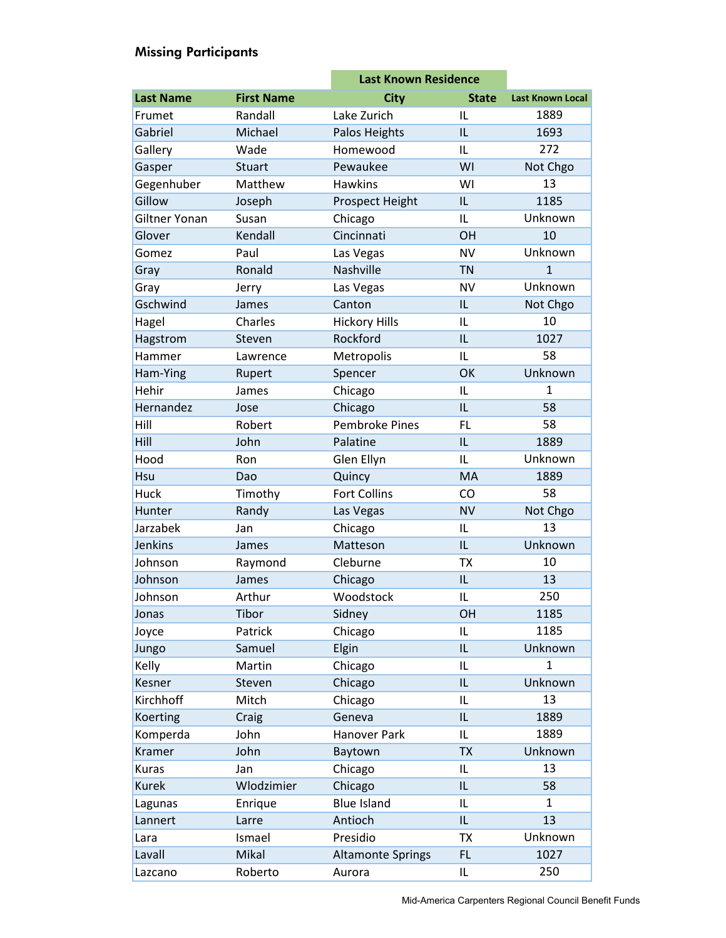|                  |                   |                          | <b>Last Known Residence</b> |                         |
|------------------|-------------------|--------------------------|-----------------------------|-------------------------|
| <b>Last Name</b> | <b>First Name</b> | <b>City</b>              | <b>State</b>                | <b>Last Known Local</b> |
| Frumet           | Randall           | Lake Zurich              | IL                          | 1889                    |
| Gabriel          | Michael           | Palos Heights            | IL                          | 1693                    |
| Gallery          | Wade              | Homewood                 | IL                          | 272                     |
| Gasper           | Stuart            | Pewaukee                 | WI                          | Not Chgo                |
| Gegenhuber       | Matthew           | <b>Hawkins</b>           | WI                          | 13                      |
| Gillow           | Joseph            | Prospect Height          | IL                          | 1185                    |
| Giltner Yonan    | Susan             | Chicago                  | IL                          | Unknown                 |
| Glover           | Kendall           | Cincinnati               | OH                          | 10                      |
| Gomez            | Paul              | Las Vegas                | <b>NV</b>                   | Unknown                 |
| Gray             | Ronald            | Nashville                | <b>TN</b>                   | $\mathbf{1}$            |
| Gray             | Jerry             | Las Vegas                | <b>NV</b>                   | Unknown                 |
| Gschwind         | James             | Canton                   | IL                          | Not Chgo                |
| Hagel            | Charles           | <b>Hickory Hills</b>     | IL                          | 10                      |
| Hagstrom         | Steven            | Rockford                 | IL                          | 1027                    |
| Hammer           | Lawrence          | Metropolis               | IL                          | 58                      |
| Ham-Ying         | Rupert            | Spencer                  | OK                          | Unknown                 |
| Hehir            | James             | Chicago                  | IL                          | $\mathbf{1}$            |
| Hernandez        | Jose              | Chicago                  | IL                          | 58                      |
| Hill             | Robert            | <b>Pembroke Pines</b>    | <b>FL</b>                   | 58                      |
| Hill             | John              | Palatine                 | IL                          | 1889                    |
| Hood             | Ron               | Glen Ellyn               | IL                          | Unknown                 |
| Hsu              | Dao               | Quincy                   | <b>MA</b>                   | 1889                    |
| Huck             | Timothy           | <b>Fort Collins</b>      | CO                          | 58                      |
| Hunter           | Randy             | Las Vegas                | <b>NV</b>                   | Not Chgo                |
| Jarzabek         | Jan               | Chicago                  | IL                          | 13                      |
| Jenkins          | James             | Matteson                 | IL                          | Unknown                 |
| Johnson          | Raymond           | Cleburne                 | <b>TX</b>                   | 10                      |
| Johnson          | James             | Chicago                  | IL                          | 13                      |
| Johnson          | Arthur            | Woodstock                | IL                          | 250                     |
| Jonas            | Tibor             | Sidney                   | OH                          | 1185                    |
| Joyce            | Patrick           | Chicago                  | IL                          | 1185                    |
| Jungo            | Samuel            | Elgin                    | IL                          | Unknown                 |
| Kelly            | Martin            | Chicago                  | IL                          | $\mathbf{1}$            |
| Kesner           | Steven            | Chicago                  | IL.                         | Unknown                 |
| <b>Kirchhoff</b> | Mitch             | Chicago                  | IL                          | 13                      |
| Koerting         | Craig             | Geneva                   | IL                          | 1889                    |
| Komperda         | John              | Hanover Park             | IL                          | 1889                    |
| Kramer           | John              | Baytown                  | <b>TX</b>                   | Unknown                 |
| Kuras            | Jan               | Chicago                  | IL                          | 13                      |
| <b>Kurek</b>     | Wlodzimier        | Chicago                  | IL.                         | 58                      |
| Lagunas          | Enrique           | <b>Blue Island</b>       | IL                          | $\mathbf{1}$            |
| Lannert          | Larre             | Antioch                  | IL                          | 13                      |
| Lara             | Ismael            | Presidio                 | <b>TX</b>                   | Unknown                 |
| Lavall           | Mikal             | <b>Altamonte Springs</b> | <b>FL</b>                   | 1027                    |
| Lazcano          | Roberto           | Aurora                   | IL.                         | 250                     |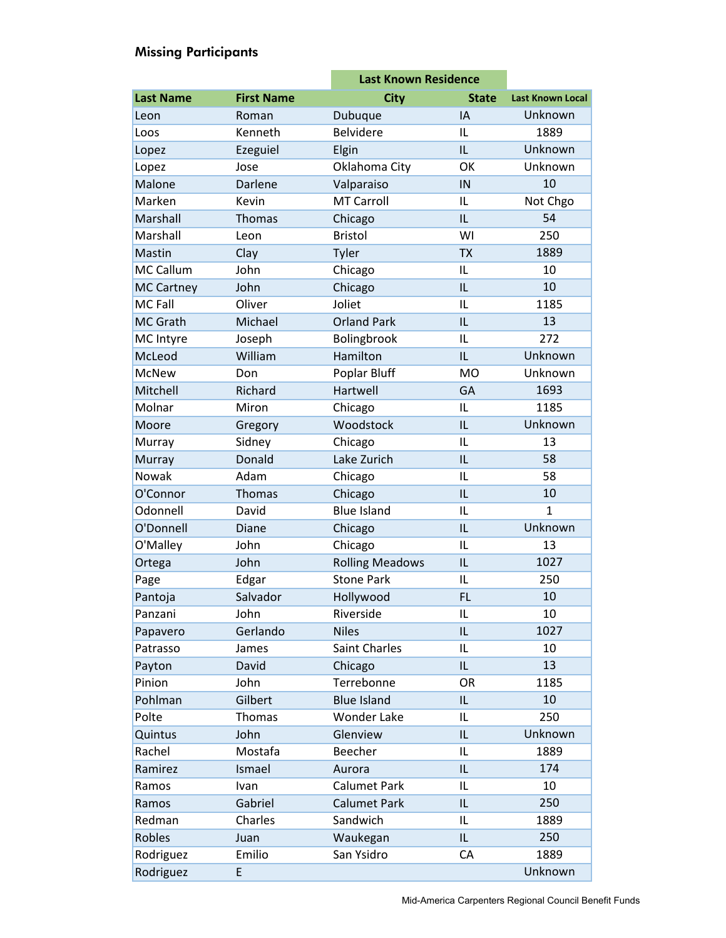|                   |                   | <b>Last Known Residence</b> |              |                         |
|-------------------|-------------------|-----------------------------|--------------|-------------------------|
| <b>Last Name</b>  | <b>First Name</b> | <b>City</b>                 | <b>State</b> | <b>Last Known Local</b> |
| Leon              | Roman             | Dubuque                     | IA           | Unknown                 |
| Loos              | Kenneth           | <b>Belvidere</b>            | IL           | 1889                    |
| Lopez             | Ezeguiel          | Elgin                       | IL           | Unknown                 |
| Lopez             | Jose              | Oklahoma City               | OK           | Unknown                 |
| Malone            | <b>Darlene</b>    | Valparaiso                  | IN           | 10                      |
| Marken            | Kevin             | <b>MT Carroll</b>           | IL           | Not Chgo                |
| Marshall          | <b>Thomas</b>     | Chicago                     | IL           | 54                      |
| Marshall          | Leon              | <b>Bristol</b>              | WI           | 250                     |
| Mastin            | Clay              | Tyler                       | <b>TX</b>    | 1889                    |
| <b>MC Callum</b>  | John              | Chicago                     | IL           | 10                      |
| <b>MC Cartney</b> | John              | Chicago                     | IL           | 10                      |
| <b>MC Fall</b>    | Oliver            | Joliet                      | IL           | 1185                    |
| <b>MC Grath</b>   | Michael           | <b>Orland Park</b>          | IL           | 13                      |
| MC Intyre         | Joseph            | Bolingbrook                 | IL           | 272                     |
| McLeod            | William           | Hamilton                    | IL           | Unknown                 |
| <b>McNew</b>      | Don               | Poplar Bluff                | <b>MO</b>    | Unknown                 |
| Mitchell          | Richard           | Hartwell                    | GA           | 1693                    |
| Molnar            | Miron             | Chicago                     | IL           | 1185                    |
| Moore             | Gregory           | Woodstock                   | IL           | Unknown                 |
| Murray            | Sidney            | Chicago                     | IL           | 13                      |
| Murray            | Donald            | Lake Zurich                 | IL           | 58                      |
| Nowak             | Adam              | Chicago                     | IL           | 58                      |
| O'Connor          | Thomas            | Chicago                     | IL           | 10                      |
| Odonnell          | David             | <b>Blue Island</b>          | IL           | $\mathbf{1}$            |
| O'Donnell         | Diane             | Chicago                     | IL           | Unknown                 |
| O'Malley          | John              | Chicago                     | IL           | 13                      |
| Ortega            | John              | <b>Rolling Meadows</b>      | IL           | 1027                    |
| Page              | Edgar             | <b>Stone Park</b>           | IL           | 250                     |
| Pantoja           | Salvador          | Hollywood                   | <b>FL</b>    | 10                      |
| Panzani           | John              | Riverside                   | IL           | 10                      |
| Papavero          | Gerlando          | <b>Niles</b>                | IL           | 1027                    |
| Patrasso          | James             | Saint Charles               | IL           | 10                      |
| Payton            | David             | Chicago                     | IL.          | 13                      |
| Pinion            | John              | Terrebonne                  | <b>OR</b>    | 1185                    |
| Pohlman           | Gilbert           | <b>Blue Island</b>          | IL           | 10                      |
| Polte             | Thomas            | <b>Wonder Lake</b>          | IL           | 250                     |
| Quintus           | John              | Glenview                    | IL           | Unknown                 |
| Rachel            | Mostafa           | Beecher                     | IL           | 1889                    |
| Ramirez           | Ismael            | Aurora                      | IL           | 174                     |
| Ramos             | Ivan              | <b>Calumet Park</b>         | IL           | 10                      |
| Ramos             | Gabriel           | <b>Calumet Park</b>         | IL.          | 250                     |
| Redman            | Charles           | Sandwich                    | IL           | 1889                    |
| Robles            | Juan              | Waukegan                    | IL           | 250                     |
| Rodriguez         | Emilio            | San Ysidro                  | СA           | 1889                    |
| Rodriguez         | E                 |                             |              | Unknown                 |